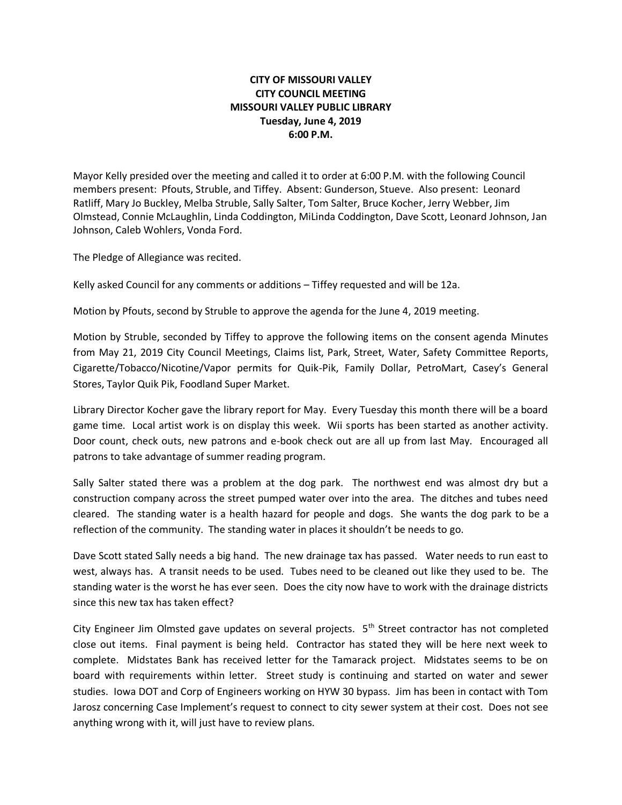## **CITY OF MISSOURI VALLEY CITY COUNCIL MEETING MISSOURI VALLEY PUBLIC LIBRARY Tuesday, June 4, 2019 6:00 P.M.**

Mayor Kelly presided over the meeting and called it to order at 6:00 P.M. with the following Council members present: Pfouts, Struble, and Tiffey. Absent: Gunderson, Stueve. Also present: Leonard Ratliff, Mary Jo Buckley, Melba Struble, Sally Salter, Tom Salter, Bruce Kocher, Jerry Webber, Jim Olmstead, Connie McLaughlin, Linda Coddington, MiLinda Coddington, Dave Scott, Leonard Johnson, Jan Johnson, Caleb Wohlers, Vonda Ford.

The Pledge of Allegiance was recited.

Kelly asked Council for any comments or additions – Tiffey requested and will be 12a.

Motion by Pfouts, second by Struble to approve the agenda for the June 4, 2019 meeting.

Motion by Struble, seconded by Tiffey to approve the following items on the consent agenda Minutes from May 21, 2019 City Council Meetings, Claims list, Park, Street, Water, Safety Committee Reports, Cigarette/Tobacco/Nicotine/Vapor permits for Quik-Pik, Family Dollar, PetroMart, Casey's General Stores, Taylor Quik Pik, Foodland Super Market.

Library Director Kocher gave the library report for May. Every Tuesday this month there will be a board game time. Local artist work is on display this week. Wii sports has been started as another activity. Door count, check outs, new patrons and e-book check out are all up from last May. Encouraged all patrons to take advantage of summer reading program.

Sally Salter stated there was a problem at the dog park. The northwest end was almost dry but a construction company across the street pumped water over into the area. The ditches and tubes need cleared. The standing water is a health hazard for people and dogs. She wants the dog park to be a reflection of the community. The standing water in places it shouldn't be needs to go.

Dave Scott stated Sally needs a big hand. The new drainage tax has passed. Water needs to run east to west, always has. A transit needs to be used. Tubes need to be cleaned out like they used to be. The standing water is the worst he has ever seen. Does the city now have to work with the drainage districts since this new tax has taken effect?

City Engineer Jim Olmsted gave updates on several projects.  $5<sup>th</sup>$  Street contractor has not completed close out items. Final payment is being held. Contractor has stated they will be here next week to complete. Midstates Bank has received letter for the Tamarack project. Midstates seems to be on board with requirements within letter. Street study is continuing and started on water and sewer studies. Iowa DOT and Corp of Engineers working on HYW 30 bypass. Jim has been in contact with Tom Jarosz concerning Case Implement's request to connect to city sewer system at their cost. Does not see anything wrong with it, will just have to review plans.